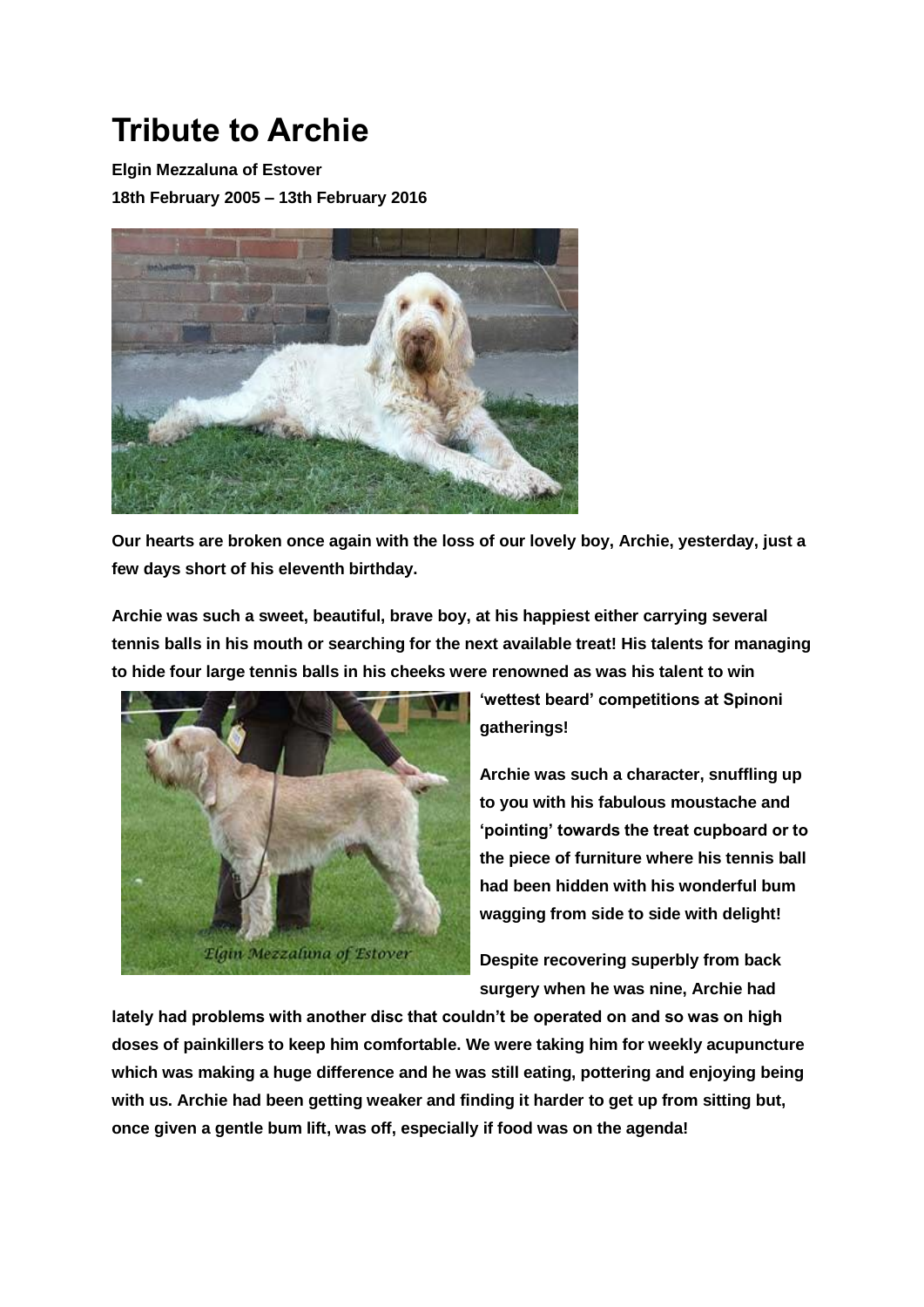## **Tribute to Archie**

**Elgin Mezzaluna of Estover**

**18th February 2005 – 13th February 2016**



**Our hearts are broken once again with the loss of our lovely boy, Archie, yesterday, just a few days short of his eleventh birthday.**

**Archie was such a sweet, beautiful, brave boy, at his happiest either carrying several tennis balls in his mouth or searching for the next available treat! His talents for managing to hide four large tennis balls in his cheeks were renowned as was his talent to win** 



**'wettest beard' competitions at Spinoni gatherings!**

**Archie was such a character, snuffling up to you with his fabulous moustache and 'pointing' towards the treat cupboard or to the piece of furniture where his tennis ball had been hidden with his wonderful bum wagging from side to side with delight!**

**Despite recovering superbly from back surgery when he was nine, Archie had** 

**lately had problems with another disc that couldn't be operated on and so was on high doses of painkillers to keep him comfortable. We were taking him for weekly acupuncture which was making a huge difference and he was still eating, pottering and enjoying being with us. Archie had been getting weaker and finding it harder to get up from sitting but, once given a gentle bum lift, was off, especially if food was on the agenda!**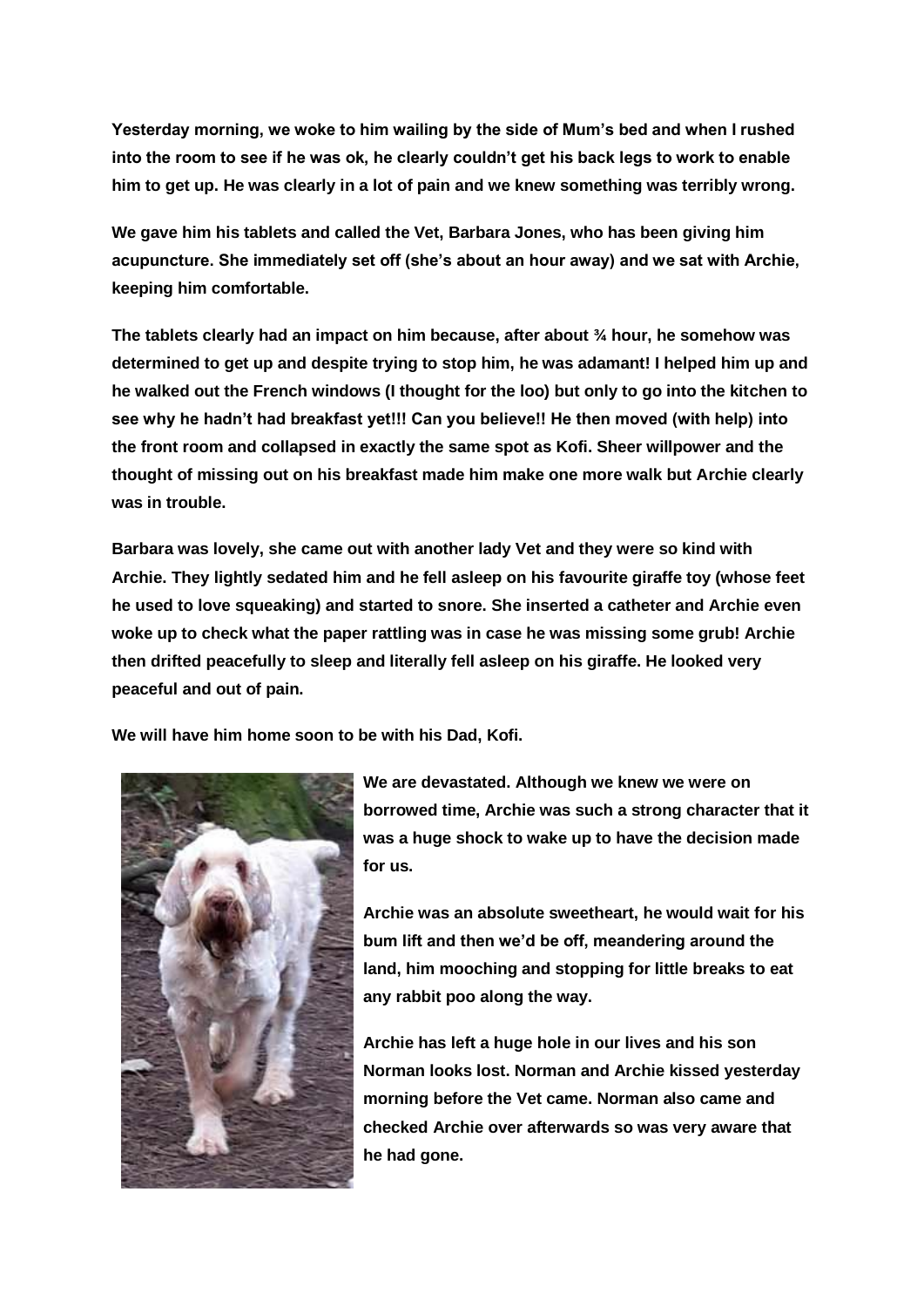**Yesterday morning, we woke to him wailing by the side of Mum's bed and when I rushed into the room to see if he was ok, he clearly couldn't get his back legs to work to enable him to get up. He was clearly in a lot of pain and we knew something was terribly wrong.**

**We gave him his tablets and called the Vet, Barbara Jones, who has been giving him acupuncture. She immediately set off (she's about an hour away) and we sat with Archie, keeping him comfortable.**

**The tablets clearly had an impact on him because, after about ¾ hour, he somehow was determined to get up and despite trying to stop him, he was adamant! I helped him up and he walked out the French windows (I thought for the loo) but only to go into the kitchen to see why he hadn't had breakfast yet!!! Can you believe!! He then moved (with help) into the front room and collapsed in exactly the same spot as Kofi. Sheer willpower and the thought of missing out on his breakfast made him make one more walk but Archie clearly was in trouble.**

**Barbara was lovely, she came out with another lady Vet and they were so kind with Archie. They lightly sedated him and he fell asleep on his favourite giraffe toy (whose feet he used to love squeaking) and started to snore. She inserted a catheter and Archie even woke up to check what the paper rattling was in case he was missing some grub! Archie then drifted peacefully to sleep and literally fell asleep on his giraffe. He looked very peaceful and out of pain.**

**We will have him home soon to be with his Dad, Kofi.**



**We are devastated. Although we knew we were on borrowed time, Archie was such a strong character that it was a huge shock to wake up to have the decision made for us.**

**Archie was an absolute sweetheart, he would wait for his bum lift and then we'd be off, meandering around the land, him mooching and stopping for little breaks to eat any rabbit poo along the way.**

**Archie has left a huge hole in our lives and his son Norman looks lost. Norman and Archie kissed yesterday morning before the Vet came. Norman also came and checked Archie over afterwards so was very aware that he had gone.**